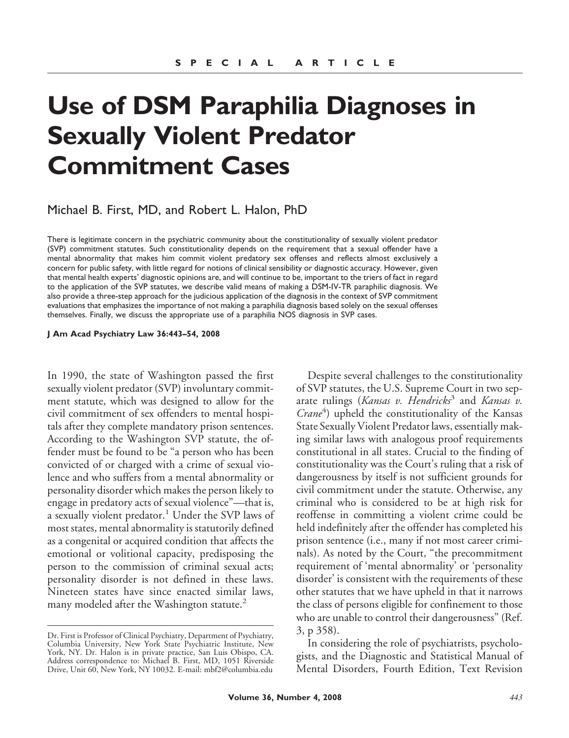# **Use of DSM Paraphilia Diagnoses in Sexually Violent Predator Commitment Cases**

Michael B. First, MD, and Robert L. Halon, PhD

There is legitimate concern in the psychiatric community about the constitutionality of sexually violent predator (SVP) commitment statutes. Such constitutionality depends on the requirement that a sexual offender have a mental abnormality that makes him commit violent predatory sex offenses and reflects almost exclusively a concern for public safety, with little regard for notions of clinical sensibility or diagnostic accuracy. However, given that mental health experts' diagnostic opinions are, and will continue to be, important to the triers of fact in regard to the application of the SVP statutes, we describe valid means of making a DSM-IV-TR paraphilic diagnosis. We also provide a three-step approach for the judicious application of the diagnosis in the context of SVP commitment evaluations that emphasizes the importance of not making a paraphilia diagnosis based solely on the sexual offenses themselves. Finally, we discuss the appropriate use of a paraphilia NOS diagnosis in SVP cases.

#### **J Am Acad Psychiatry Law 36:443–54, 2008**

In 1990, the state of Washington passed the first sexually violent predator (SVP) involuntary commitment statute, which was designed to allow for the civil commitment of sex offenders to mental hospitals after they complete mandatory prison sentences. According to the Washington SVP statute, the offender must be found to be "a person who has been convicted of or charged with a crime of sexual violence and who suffers from a mental abnormality or personality disorder which makes the person likely to engage in predatory acts of sexual violence"—that is, a sexually violent predator.<sup>1</sup> Under the SVP laws of most states, mental abnormality is statutorily defined as a congenital or acquired condition that affects the emotional or volitional capacity, predisposing the person to the commission of criminal sexual acts; personality disorder is not defined in these laws. Nineteen states have since enacted similar laws, many modeled after the Washington statute.<sup>2</sup>

Despite several challenges to the constitutionality of SVP statutes, the U.S. Supreme Court in two separate rulings (*Kansas v. Hendricks*<sup>3</sup> and *Kansas v.* Crane<sup>4</sup>) upheld the constitutionality of the Kansas State Sexually Violent Predator laws, essentially making similar laws with analogous proof requirements constitutional in all states. Crucial to the finding of constitutionality was the Court's ruling that a risk of dangerousness by itself is not sufficient grounds for civil commitment under the statute. Otherwise, any criminal who is considered to be at high risk for reoffense in committing a violent crime could be held indefinitely after the offender has completed his prison sentence (i.e., many if not most career criminals). As noted by the Court, "the precommitment requirement of 'mental abnormality' or 'personality disorder' is consistent with the requirements of these other statutes that we have upheld in that it narrows the class of persons eligible for confinement to those who are unable to control their dangerousness" (Ref. 3, p 358).

In considering the role of psychiatrists, psychologists, and the Diagnostic and Statistical Manual of Mental Disorders, Fourth Edition, Text Revision

Dr. First is Professor of Clinical Psychiatry, Department of Psychiatry, Columbia University, New York State Psychiatric Institute, New York, NY. Dr. Halon is in private practice, San Luis Obispo, CA. Address correspondence to: Michael B. First, MD, 1051 Riverside Drive, Unit 60, New York, NY 10032. E-mail: mbf2@columbia.edu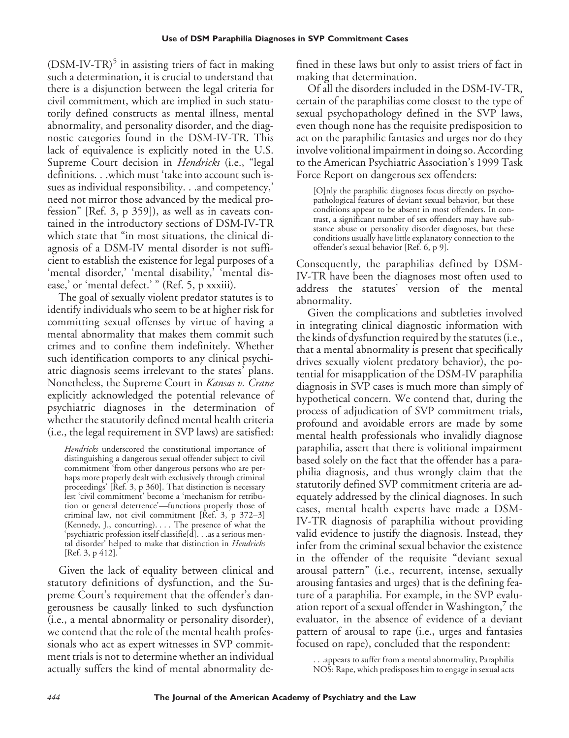$(DSM-IV-TR)^5$  in assisting triers of fact in making such a determination, it is crucial to understand that there is a disjunction between the legal criteria for civil commitment, which are implied in such statutorily defined constructs as mental illness, mental abnormality, and personality disorder, and the diagnostic categories found in the DSM-IV-TR. This lack of equivalence is explicitly noted in the U.S. Supreme Court decision in *Hendricks* (i.e., "legal definitions. . .which must 'take into account such issues as individual responsibility. . .and competency,' need not mirror those advanced by the medical profession" [Ref. 3, p 359]), as well as in caveats contained in the introductory sections of DSM-IV-TR which state that "in most situations, the clinical diagnosis of a DSM-IV mental disorder is not sufficient to establish the existence for legal purposes of a 'mental disorder,' 'mental disability,' 'mental disease,' or 'mental defect.' " (Ref. 5, p xxxiii).

The goal of sexually violent predator statutes is to identify individuals who seem to be at higher risk for committing sexual offenses by virtue of having a mental abnormality that makes them commit such crimes and to confine them indefinitely. Whether such identification comports to any clinical psychiatric diagnosis seems irrelevant to the states' plans. Nonetheless, the Supreme Court in *Kansas v. Crane* explicitly acknowledged the potential relevance of psychiatric diagnoses in the determination of whether the statutorily defined mental health criteria (i.e., the legal requirement in SVP laws) are satisfied:

*Hendricks* underscored the constitutional importance of distinguishing a dangerous sexual offender subject to civil commitment 'from other dangerous persons who are perhaps more properly dealt with exclusively through criminal proceedings' [Ref. 3, p 360]. That distinction is necessary lest 'civil commitment' become a 'mechanism for retribution or general deterrence'—functions properly those of criminal law, not civil commitment  $[\text{Ref. } 3, p 372-3]$ (Kennedy, J., concurring). . . . The presence of what the 'psychiatric profession itself classifie[d]. . .as a serious mental disorder' helped to make that distinction in *Hendricks* [Ref. 3, p 412].

Given the lack of equality between clinical and statutory definitions of dysfunction, and the Supreme Court's requirement that the offender's dangerousness be causally linked to such dysfunction (i.e., a mental abnormality or personality disorder), we contend that the role of the mental health professionals who act as expert witnesses in SVP commitment trials is not to determine whether an individual actually suffers the kind of mental abnormality defined in these laws but only to assist triers of fact in making that determination.

Of all the disorders included in the DSM-IV-TR, certain of the paraphilias come closest to the type of sexual psychopathology defined in the SVP laws, even though none has the requisite predisposition to act on the paraphilic fantasies and urges nor do they involve volitional impairment in doing so. According to the American Psychiatric Association's 1999 Task Force Report on dangerous sex offenders:

[O]nly the paraphilic diagnoses focus directly on psychopathological features of deviant sexual behavior, but these conditions appear to be absent in most offenders. In contrast, a significant number of sex offenders may have substance abuse or personality disorder diagnoses, but these conditions usually have little explanatory connection to the offender's sexual behavior [Ref. 6, p 9].

Consequently, the paraphilias defined by DSM-IV-TR have been the diagnoses most often used to address the statutes' version of the mental abnormality.

Given the complications and subtleties involved in integrating clinical diagnostic information with the kinds of dysfunction required by the statutes (i.e., that a mental abnormality is present that specifically drives sexually violent predatory behavior), the potential for misapplication of the DSM-IV paraphilia diagnosis in SVP cases is much more than simply of hypothetical concern. We contend that, during the process of adjudication of SVP commitment trials, profound and avoidable errors are made by some mental health professionals who invalidly diagnose paraphilia, assert that there is volitional impairment based solely on the fact that the offender has a paraphilia diagnosis, and thus wrongly claim that the statutorily defined SVP commitment criteria are adequately addressed by the clinical diagnoses. In such cases, mental health experts have made a DSM-IV-TR diagnosis of paraphilia without providing valid evidence to justify the diagnosis. Instead, they infer from the criminal sexual behavior the existence in the offender of the requisite "deviant sexual arousal pattern" (i.e., recurrent, intense, sexually arousing fantasies and urges) that is the defining feature of a paraphilia. For example, in the SVP evaluation report of a sexual offender in Washington, the evaluator, in the absence of evidence of a deviant pattern of arousal to rape (i.e., urges and fantasies focused on rape), concluded that the respondent:

. . .appears to suffer from a mental abnormality, Paraphilia NOS: Rape, which predisposes him to engage in sexual acts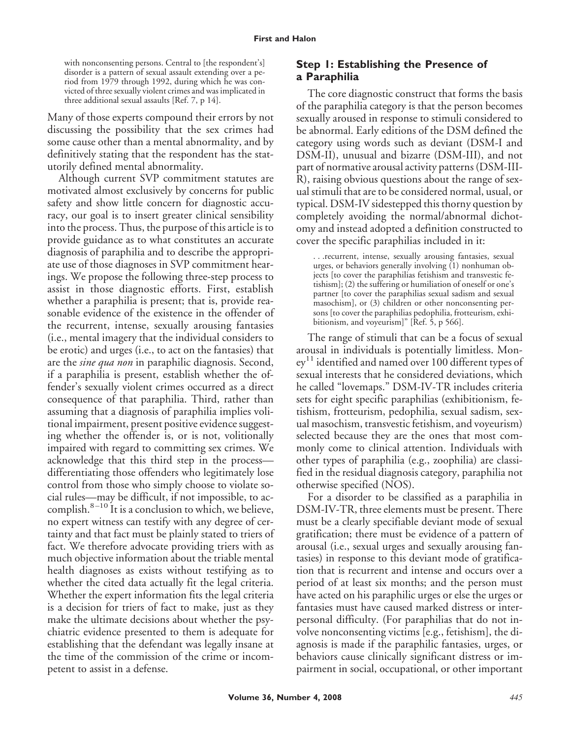with nonconsenting persons. Central to [the respondent's] disorder is a pattern of sexual assault extending over a period from 1979 through 1992, during which he was convicted of three sexually violent crimes and was implicated in three additional sexual assaults [Ref. 7, p 14].

Many of those experts compound their errors by not discussing the possibility that the sex crimes had some cause other than a mental abnormality, and by definitively stating that the respondent has the statutorily defined mental abnormality.

Although current SVP commitment statutes are motivated almost exclusively by concerns for public safety and show little concern for diagnostic accuracy, our goal is to insert greater clinical sensibility into the process. Thus, the purpose of this article is to provide guidance as to what constitutes an accurate diagnosis of paraphilia and to describe the appropriate use of those diagnoses in SVP commitment hearings. We propose the following three-step process to assist in those diagnostic efforts. First, establish whether a paraphilia is present; that is, provide reasonable evidence of the existence in the offender of the recurrent, intense, sexually arousing fantasies (i.e., mental imagery that the individual considers to be erotic) and urges (i.e., to act on the fantasies) that are the *sine qua non* in paraphilic diagnosis. Second, if a paraphilia is present, establish whether the offender's sexually violent crimes occurred as a direct consequence of that paraphilia. Third, rather than assuming that a diagnosis of paraphilia implies volitional impairment, present positive evidence suggesting whether the offender is, or is not, volitionally impaired with regard to committing sex crimes. We acknowledge that this third step in the process differentiating those offenders who legitimately lose control from those who simply choose to violate social rules—may be difficult, if not impossible, to accomplish. $8-10$  It is a conclusion to which, we believe, no expert witness can testify with any degree of certainty and that fact must be plainly stated to triers of fact. We therefore advocate providing triers with as much objective information about the triable mental health diagnoses as exists without testifying as to whether the cited data actually fit the legal criteria. Whether the expert information fits the legal criteria is a decision for triers of fact to make, just as they make the ultimate decisions about whether the psychiatric evidence presented to them is adequate for establishing that the defendant was legally insane at the time of the commission of the crime or incompetent to assist in a defense.

### **Step 1: Establishing the Presence of a Paraphilia**

The core diagnostic construct that forms the basis of the paraphilia category is that the person becomes sexually aroused in response to stimuli considered to be abnormal. Early editions of the DSM defined the category using words such as deviant (DSM-I and DSM-II), unusual and bizarre (DSM-III), and not part of normative arousal activity patterns (DSM-III-R), raising obvious questions about the range of sexual stimuli that are to be considered normal, usual, or typical. DSM-IV sidestepped this thorny question by completely avoiding the normal/abnormal dichotomy and instead adopted a definition constructed to cover the specific paraphilias included in it:

. . .recurrent, intense, sexually arousing fantasies, sexual urges, or behaviors generally involving (1) nonhuman objects [to cover the paraphilias fetishism and transvestic fetishism]; (2) the suffering or humiliation of oneself or one's partner [to cover the paraphilias sexual sadism and sexual masochism], or (3) children or other nonconsenting persons [to cover the paraphilias pedophilia, frotteurism, exhibitionism, and voyeurism]" [Ref. 5, p 566].

The range of stimuli that can be a focus of sexual arousal in individuals is potentially limitless. Money <sup>11</sup> identified and named over 100 different types of sexual interests that he considered deviations, which he called "lovemaps." DSM-IV-TR includes criteria sets for eight specific paraphilias (exhibitionism, fetishism, frotteurism, pedophilia, sexual sadism, sexual masochism, transvestic fetishism, and voyeurism) selected because they are the ones that most commonly come to clinical attention. Individuals with other types of paraphilia (e.g., zoophilia) are classified in the residual diagnosis category, paraphilia not otherwise specified (NOS).

For a disorder to be classified as a paraphilia in DSM-IV-TR, three elements must be present. There must be a clearly specifiable deviant mode of sexual gratification; there must be evidence of a pattern of arousal (i.e., sexual urges and sexually arousing fantasies) in response to this deviant mode of gratification that is recurrent and intense and occurs over a period of at least six months; and the person must have acted on his paraphilic urges or else the urges or fantasies must have caused marked distress or interpersonal difficulty. (For paraphilias that do not involve nonconsenting victims [e.g., fetishism], the diagnosis is made if the paraphilic fantasies, urges, or behaviors cause clinically significant distress or impairment in social, occupational, or other important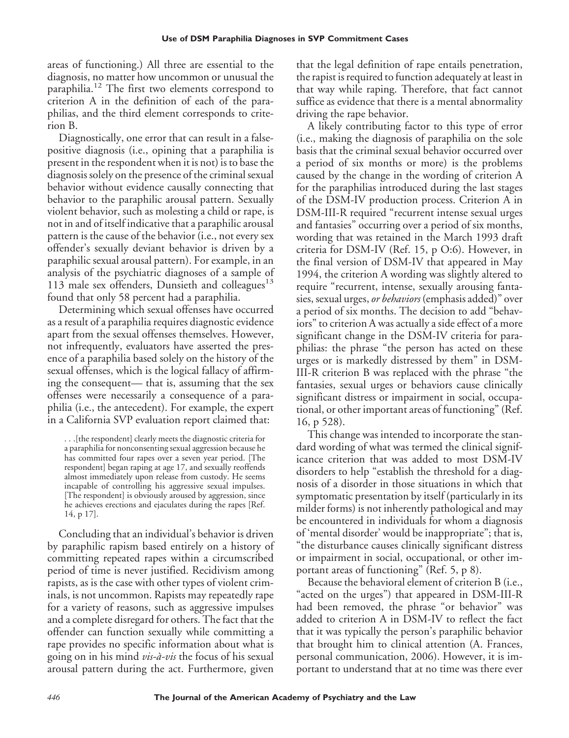areas of functioning.) All three are essential to the diagnosis, no matter how uncommon or unusual the paraphilia.<sup>12</sup> The first two elements correspond to criterion A in the definition of each of the paraphilias, and the third element corresponds to criterion B.

Diagnostically, one error that can result in a falsepositive diagnosis (i.e., opining that a paraphilia is present in the respondent when it is not) is to base the diagnosis solely on the presence of the criminal sexual behavior without evidence causally connecting that behavior to the paraphilic arousal pattern. Sexually violent behavior, such as molesting a child or rape, is not in and of itself indicative that a paraphilic arousal pattern is the cause of the behavior (i.e., not every sex offender's sexually deviant behavior is driven by a paraphilic sexual arousal pattern). For example, in an analysis of the psychiatric diagnoses of a sample of 113 male sex offenders, Dunsieth and colleagues $13$ found that only 58 percent had a paraphilia.

Determining which sexual offenses have occurred as a result of a paraphilia requires diagnostic evidence apart from the sexual offenses themselves. However, not infrequently, evaluators have asserted the presence of a paraphilia based solely on the history of the sexual offenses, which is the logical fallacy of affirming the consequent— that is, assuming that the sex offenses were necessarily a consequence of a paraphilia (i.e., the antecedent). For example, the expert in a California SVP evaluation report claimed that:

. . .[the respondent] clearly meets the diagnostic criteria for a paraphilia for nonconsenting sexual aggression because he has committed four rapes over a seven year period. [The respondent] began raping at age 17, and sexually reoffends almost immediately upon release from custody. He seems incapable of controlling his aggressive sexual impulses. [The respondent] is obviously aroused by aggression, since he achieves erections and ejaculates during the rapes [Ref. 14, p 17].

Concluding that an individual's behavior is driven by paraphilic rapism based entirely on a history of committing repeated rapes within a circumscribed period of time is never justified. Recidivism among rapists, as is the case with other types of violent criminals, is not uncommon. Rapists may repeatedly rape for a variety of reasons, such as aggressive impulses and a complete disregard for others. The fact that the offender can function sexually while committing a rape provides no specific information about what is going on in his mind *vis-a`-vis* the focus of his sexual arousal pattern during the act. Furthermore, given

that the legal definition of rape entails penetration, the rapist is required to function adequately at least in that way while raping. Therefore, that fact cannot suffice as evidence that there is a mental abnormality driving the rape behavior.

A likely contributing factor to this type of error (i.e., making the diagnosis of paraphilia on the sole basis that the criminal sexual behavior occurred over a period of six months or more) is the problems caused by the change in the wording of criterion A for the paraphilias introduced during the last stages of the DSM-IV production process. Criterion A in DSM-III-R required "recurrent intense sexual urges and fantasies" occurring over a period of six months, wording that was retained in the March 1993 draft criteria for DSM-IV (Ref. 15, p O:6). However, in the final version of DSM-IV that appeared in May 1994, the criterion A wording was slightly altered to require "recurrent, intense, sexually arousing fantasies, sexual urges, *or behaviors* (emphasis added)" over a period of six months. The decision to add "behaviors" to criterion A was actually a side effect of a more significant change in the DSM-IV criteria for paraphilias: the phrase "the person has acted on these urges or is markedly distressed by them" in DSM-III-R criterion B was replaced with the phrase "the fantasies, sexual urges or behaviors cause clinically significant distress or impairment in social, occupational, or other important areas of functioning" (Ref. 16, p 528).

This change was intended to incorporate the standard wording of what was termed the clinical significance criterion that was added to most DSM-IV disorders to help "establish the threshold for a diagnosis of a disorder in those situations in which that symptomatic presentation by itself (particularly in its milder forms) is not inherently pathological and may be encountered in individuals for whom a diagnosis of 'mental disorder' would be inappropriate"; that is, "the disturbance causes clinically significant distress or impairment in social, occupational, or other important areas of functioning" (Ref. 5, p 8).

Because the behavioral element of criterion B (i.e., "acted on the urges") that appeared in DSM-III-R had been removed, the phrase "or behavior" was added to criterion A in DSM-IV to reflect the fact that it was typically the person's paraphilic behavior that brought him to clinical attention (A. Frances, personal communication, 2006). However, it is important to understand that at no time was there ever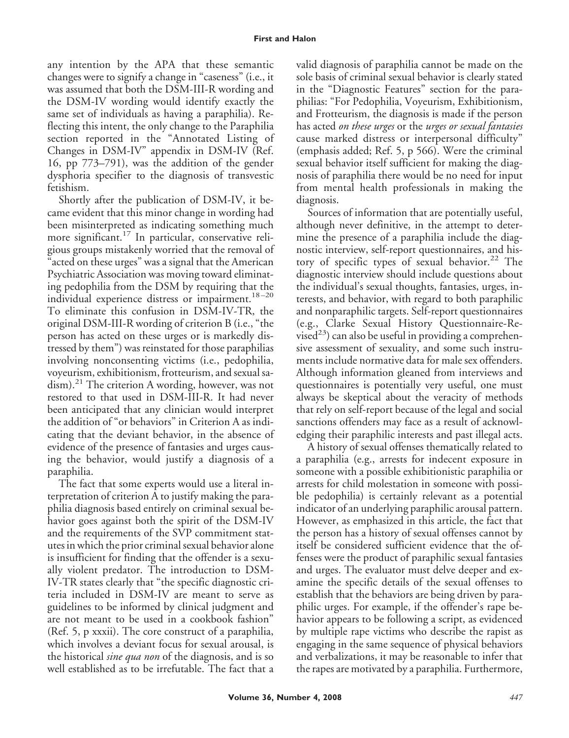any intention by the APA that these semantic changes were to signify a change in "caseness" (i.e., it was assumed that both the DSM-III-R wording and the DSM-IV wording would identify exactly the same set of individuals as having a paraphilia). Reflecting this intent, the only change to the Paraphilia section reported in the "Annotated Listing of Changes in DSM-IV" appendix in DSM-IV (Ref. 16, pp 773–791), was the addition of the gender dysphoria specifier to the diagnosis of transvestic fetishism.

Shortly after the publication of DSM-IV, it became evident that this minor change in wording had been misinterpreted as indicating something much more significant.<sup>17</sup> In particular, conservative religious groups mistakenly worried that the removal of acted on these urges" was a signal that the American Psychiatric Association was moving toward eliminating pedophilia from the DSM by requiring that the individual experience distress or impairment.<sup>18-20</sup> To eliminate this confusion in DSM-IV-TR, the original DSM-III-R wording of criterion B (i.e., "the person has acted on these urges or is markedly distressed by them") was reinstated for those paraphilias involving nonconsenting victims (i.e., pedophilia, voyeurism, exhibitionism, frotteurism, and sexual sa $dism$ ).<sup>21</sup> The criterion A wording, however, was not restored to that used in DSM-III-R. It had never been anticipated that any clinician would interpret the addition of "or behaviors" in Criterion A as indicating that the deviant behavior, in the absence of evidence of the presence of fantasies and urges causing the behavior, would justify a diagnosis of a paraphilia.

The fact that some experts would use a literal interpretation of criterion A to justify making the paraphilia diagnosis based entirely on criminal sexual behavior goes against both the spirit of the DSM-IV and the requirements of the SVP commitment statutes in which the prior criminal sexual behavior alone is insufficient for finding that the offender is a sexually violent predator. The introduction to DSM-IV-TR states clearly that "the specific diagnostic criteria included in DSM-IV are meant to serve as guidelines to be informed by clinical judgment and are not meant to be used in a cookbook fashion" (Ref. 5, p xxxii). The core construct of a paraphilia, which involves a deviant focus for sexual arousal, is the historical *sine qua non* of the diagnosis, and is so well established as to be irrefutable. The fact that a valid diagnosis of paraphilia cannot be made on the sole basis of criminal sexual behavior is clearly stated in the "Diagnostic Features" section for the paraphilias: "For Pedophilia, Voyeurism, Exhibitionism, and Frotteurism, the diagnosis is made if the person has acted *on these urges* or the *urges or sexual fantasies* cause marked distress or interpersonal difficulty" (emphasis added; Ref. 5, p 566). Were the criminal sexual behavior itself sufficient for making the diagnosis of paraphilia there would be no need for input from mental health professionals in making the diagnosis.

Sources of information that are potentially useful, although never definitive, in the attempt to determine the presence of a paraphilia include the diagnostic interview, self-report questionnaires, and history of specific types of sexual behavior.<sup>22</sup> The diagnostic interview should include questions about the individual's sexual thoughts, fantasies, urges, interests, and behavior, with regard to both paraphilic and nonparaphilic targets. Self-report questionnaires (e.g., Clarke Sexual History Questionnaire-Revised<sup>23</sup>) can also be useful in providing a comprehensive assessment of sexuality, and some such instruments include normative data for male sex offenders. Although information gleaned from interviews and questionnaires is potentially very useful, one must always be skeptical about the veracity of methods that rely on self-report because of the legal and social sanctions offenders may face as a result of acknowledging their paraphilic interests and past illegal acts.

A history of sexual offenses thematically related to a paraphilia (e.g., arrests for indecent exposure in someone with a possible exhibitionistic paraphilia or arrests for child molestation in someone with possible pedophilia) is certainly relevant as a potential indicator of an underlying paraphilic arousal pattern. However, as emphasized in this article, the fact that the person has a history of sexual offenses cannot by itself be considered sufficient evidence that the offenses were the product of paraphilic sexual fantasies and urges. The evaluator must delve deeper and examine the specific details of the sexual offenses to establish that the behaviors are being driven by paraphilic urges. For example, if the offender's rape behavior appears to be following a script, as evidenced by multiple rape victims who describe the rapist as engaging in the same sequence of physical behaviors and verbalizations, it may be reasonable to infer that the rapes are motivated by a paraphilia. Furthermore,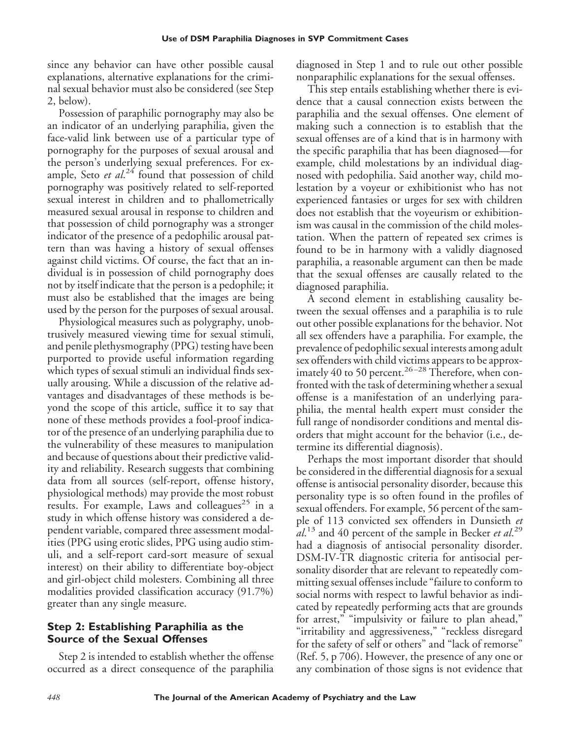since any behavior can have other possible causal explanations, alternative explanations for the criminal sexual behavior must also be considered (see Step 2, below).

Possession of paraphilic pornography may also be an indicator of an underlying paraphilia, given the face-valid link between use of a particular type of pornography for the purposes of sexual arousal and the person's underlying sexual preferences. For example, Seto et al.<sup>24</sup> found that possession of child pornography was positively related to self-reported sexual interest in children and to phallometrically measured sexual arousal in response to children and that possession of child pornography was a stronger indicator of the presence of a pedophilic arousal pattern than was having a history of sexual offenses against child victims. Of course, the fact that an individual is in possession of child pornography does not by itself indicate that the person is a pedophile; it must also be established that the images are being used by the person for the purposes of sexual arousal.

Physiological measures such as polygraphy, unobtrusively measured viewing time for sexual stimuli, and penile plethysmography (PPG) testing have been purported to provide useful information regarding which types of sexual stimuli an individual finds sexually arousing. While a discussion of the relative advantages and disadvantages of these methods is beyond the scope of this article, suffice it to say that none of these methods provides a fool-proof indicator of the presence of an underlying paraphilia due to the vulnerability of these measures to manipulation and because of questions about their predictive validity and reliability. Research suggests that combining data from all sources (self-report, offense history, physiological methods) may provide the most robust results. For example, Laws and colleagues<sup>25</sup> in a study in which offense history was considered a dependent variable, compared three assessment modalities (PPG using erotic slides, PPG using audio stimuli, and a self-report card-sort measure of sexual interest) on their ability to differentiate boy-object and girl-object child molesters. Combining all three modalities provided classification accuracy (91.7%) greater than any single measure.

#### **Step 2: Establishing Paraphilia as the Source of the Sexual Offenses**

Step 2 is intended to establish whether the offense occurred as a direct consequence of the paraphilia diagnosed in Step 1 and to rule out other possible nonparaphilic explanations for the sexual offenses.

This step entails establishing whether there is evidence that a causal connection exists between the paraphilia and the sexual offenses. One element of making such a connection is to establish that the sexual offenses are of a kind that is in harmony with the specific paraphilia that has been diagnosed—for example, child molestations by an individual diagnosed with pedophilia. Said another way, child molestation by a voyeur or exhibitionist who has not experienced fantasies or urges for sex with children does not establish that the voyeurism or exhibitionism was causal in the commission of the child molestation. When the pattern of repeated sex crimes is found to be in harmony with a validly diagnosed paraphilia, a reasonable argument can then be made that the sexual offenses are causally related to the diagnosed paraphilia.

A second element in establishing causality between the sexual offenses and a paraphilia is to rule out other possible explanations for the behavior. Not all sex offenders have a paraphilia. For example, the prevalence of pedophilic sexual interests among adult sex offenders with child victims appears to be approximately 40 to 50 percent.<sup>26-28</sup> Therefore, when confronted with the task of determining whether a sexual offense is a manifestation of an underlying paraphilia, the mental health expert must consider the full range of nondisorder conditions and mental disorders that might account for the behavior (i.e., determine its differential diagnosis).

Perhaps the most important disorder that should be considered in the differential diagnosis for a sexual offense is antisocial personality disorder, because this personality type is so often found in the profiles of sexual offenders. For example, 56 percent of the sample of 113 convicted sex offenders in Dunsieth *et al*. <sup>13</sup> and 40 percent of the sample in Becker *et al*. 29 had a diagnosis of antisocial personality disorder. DSM-IV-TR diagnostic criteria for antisocial personality disorder that are relevant to repeatedly committing sexual offenses include "failure to conform to social norms with respect to lawful behavior as indicated by repeatedly performing acts that are grounds for arrest," "impulsivity or failure to plan ahead," "irritability and aggressiveness," "reckless disregard for the safety of self or others" and "lack of remorse" (Ref. 5, p 706). However, the presence of any one or any combination of those signs is not evidence that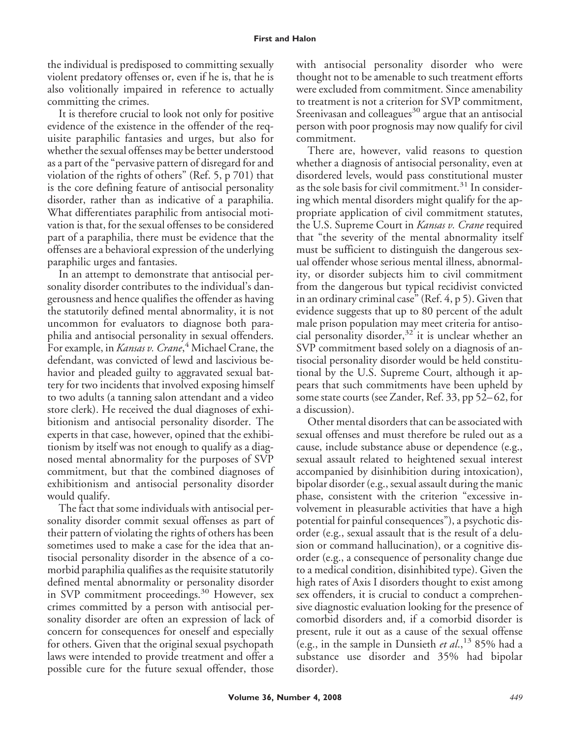the individual is predisposed to committing sexually violent predatory offenses or, even if he is, that he is also volitionally impaired in reference to actually committing the crimes.

It is therefore crucial to look not only for positive evidence of the existence in the offender of the requisite paraphilic fantasies and urges, but also for whether the sexual offenses may be better understood as a part of the "pervasive pattern of disregard for and violation of the rights of others" (Ref. 5, p 701) that is the core defining feature of antisocial personality disorder, rather than as indicative of a paraphilia. What differentiates paraphilic from antisocial motivation is that, for the sexual offenses to be considered part of a paraphilia, there must be evidence that the offenses are a behavioral expression of the underlying paraphilic urges and fantasies.

In an attempt to demonstrate that antisocial personality disorder contributes to the individual's dangerousness and hence qualifies the offender as having the statutorily defined mental abnormality, it is not uncommon for evaluators to diagnose both paraphilia and antisocial personality in sexual offenders. For example, in *Kansas v. Crane*, <sup>4</sup> Michael Crane, the defendant, was convicted of lewd and lascivious behavior and pleaded guilty to aggravated sexual battery for two incidents that involved exposing himself to two adults (a tanning salon attendant and a video store clerk). He received the dual diagnoses of exhibitionism and antisocial personality disorder. The experts in that case, however, opined that the exhibitionism by itself was not enough to qualify as a diagnosed mental abnormality for the purposes of SVP commitment, but that the combined diagnoses of exhibitionism and antisocial personality disorder would qualify.

The fact that some individuals with antisocial personality disorder commit sexual offenses as part of their pattern of violating the rights of others has been sometimes used to make a case for the idea that antisocial personality disorder in the absence of a comorbid paraphilia qualifies as the requisite statutorily defined mental abnormality or personality disorder in SVP commitment proceedings.<sup>30</sup> However, sex crimes committed by a person with antisocial personality disorder are often an expression of lack of concern for consequences for oneself and especially for others. Given that the original sexual psychopath laws were intended to provide treatment and offer a possible cure for the future sexual offender, those

with antisocial personality disorder who were thought not to be amenable to such treatment efforts were excluded from commitment. Since amenability to treatment is not a criterion for SVP commitment, Sreenivasan and colleagues $30$  argue that an antisocial person with poor prognosis may now qualify for civil commitment.

There are, however, valid reasons to question whether a diagnosis of antisocial personality, even at disordered levels, would pass constitutional muster as the sole basis for civil commitment.<sup>31</sup> In considering which mental disorders might qualify for the appropriate application of civil commitment statutes, the U.S. Supreme Court in *Kansas v. Crane* required that "the severity of the mental abnormality itself must be sufficient to distinguish the dangerous sexual offender whose serious mental illness, abnormality, or disorder subjects him to civil commitment from the dangerous but typical recidivist convicted in an ordinary criminal case" (Ref. 4, p 5). Given that evidence suggests that up to 80 percent of the adult male prison population may meet criteria for antisocial personality disorder, $32$  it is unclear whether an SVP commitment based solely on a diagnosis of antisocial personality disorder would be held constitutional by the U.S. Supreme Court, although it appears that such commitments have been upheld by some state courts (see Zander, Ref. 33, pp 52–62, for a discussion).

Other mental disorders that can be associated with sexual offenses and must therefore be ruled out as a cause, include substance abuse or dependence (e.g., sexual assault related to heightened sexual interest accompanied by disinhibition during intoxication), bipolar disorder (e.g., sexual assault during the manic phase, consistent with the criterion "excessive involvement in pleasurable activities that have a high potential for painful consequences"), a psychotic disorder (e.g., sexual assault that is the result of a delusion or command hallucination), or a cognitive disorder (e.g., a consequence of personality change due to a medical condition, disinhibited type). Given the high rates of Axis I disorders thought to exist among sex offenders, it is crucial to conduct a comprehensive diagnostic evaluation looking for the presence of comorbid disorders and, if a comorbid disorder is present, rule it out as a cause of the sexual offense (e.g., in the sample in Dunsieth *et al*.,<sup>13</sup> 85% had a substance use disorder and 35% had bipolar disorder).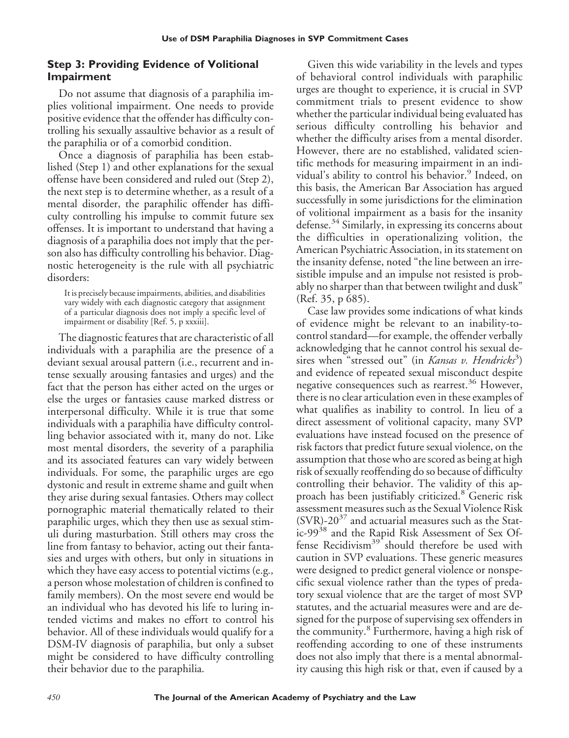# **Step 3: Providing Evidence of Volitional Impairment**

Do not assume that diagnosis of a paraphilia implies volitional impairment. One needs to provide positive evidence that the offender has difficulty controlling his sexually assaultive behavior as a result of the paraphilia or of a comorbid condition.

Once a diagnosis of paraphilia has been established (Step 1) and other explanations for the sexual offense have been considered and ruled out (Step 2), the next step is to determine whether, as a result of a mental disorder, the paraphilic offender has difficulty controlling his impulse to commit future sex offenses. It is important to understand that having a diagnosis of a paraphilia does not imply that the person also has difficulty controlling his behavior. Diagnostic heterogeneity is the rule with all psychiatric disorders:

It is precisely because impairments, abilities, and disabilities vary widely with each diagnostic category that assignment of a particular diagnosis does not imply a specific level of impairment or disability [Ref. 5, p xxxiii].

The diagnostic features that are characteristic of all individuals with a paraphilia are the presence of a deviant sexual arousal pattern (i.e., recurrent and intense sexually arousing fantasies and urges) and the fact that the person has either acted on the urges or else the urges or fantasies cause marked distress or interpersonal difficulty. While it is true that some individuals with a paraphilia have difficulty controlling behavior associated with it, many do not. Like most mental disorders, the severity of a paraphilia and its associated features can vary widely between individuals. For some, the paraphilic urges are ego dystonic and result in extreme shame and guilt when they arise during sexual fantasies. Others may collect pornographic material thematically related to their paraphilic urges, which they then use as sexual stimuli during masturbation. Still others may cross the line from fantasy to behavior, acting out their fantasies and urges with others, but only in situations in which they have easy access to potential victims (e.g*.,* a person whose molestation of children is confined to family members). On the most severe end would be an individual who has devoted his life to luring intended victims and makes no effort to control his behavior. All of these individuals would qualify for a DSM-IV diagnosis of paraphilia, but only a subset might be considered to have difficulty controlling their behavior due to the paraphilia.

Given this wide variability in the levels and types of behavioral control individuals with paraphilic urges are thought to experience, it is crucial in SVP commitment trials to present evidence to show whether the particular individual being evaluated has serious difficulty controlling his behavior and whether the difficulty arises from a mental disorder. However, there are no established, validated scientific methods for measuring impairment in an individual's ability to control his behavior.<sup>9</sup> Indeed, on this basis, the American Bar Association has argued successfully in some jurisdictions for the elimination of volitional impairment as a basis for the insanity defense.<sup>34</sup> Similarly, in expressing its concerns about the difficulties in operationalizing volition, the American Psychiatric Association, in its statement on the insanity defense, noted "the line between an irresistible impulse and an impulse not resisted is probably no sharper than that between twilight and dusk" (Ref. 35, p 685).

Case law provides some indications of what kinds of evidence might be relevant to an inability-tocontrol standard—for example, the offender verbally acknowledging that he cannot control his sexual desires when "stressed out" (in *Kansas v. Hendricks*<sup>3</sup>) and evidence of repeated sexual misconduct despite negative consequences such as rearrest.<sup>36</sup> However, there is no clear articulation even in these examples of what qualifies as inability to control. In lieu of a direct assessment of volitional capacity, many SVP evaluations have instead focused on the presence of risk factors that predict future sexual violence, on the assumption that those who are scored as being at high risk of sexually reoffending do so because of difficulty controlling their behavior. The validity of this approach has been justifiably criticized.<sup>8</sup> Generic risk assessment measures such as the Sexual Violence Risk  $(SVR)$ -20<sup>37</sup> and actuarial measures such as the Static-99<sup>38</sup> and the Rapid Risk Assessment of Sex Offense Recidivism<sup>39</sup> should therefore be used with caution in SVP evaluations. These generic measures were designed to predict general violence or nonspecific sexual violence rather than the types of predatory sexual violence that are the target of most SVP statutes, and the actuarial measures were and are designed for the purpose of supervising sex offenders in the community.<sup>8</sup> Furthermore, having a high risk of reoffending according to one of these instruments does not also imply that there is a mental abnormality causing this high risk or that, even if caused by a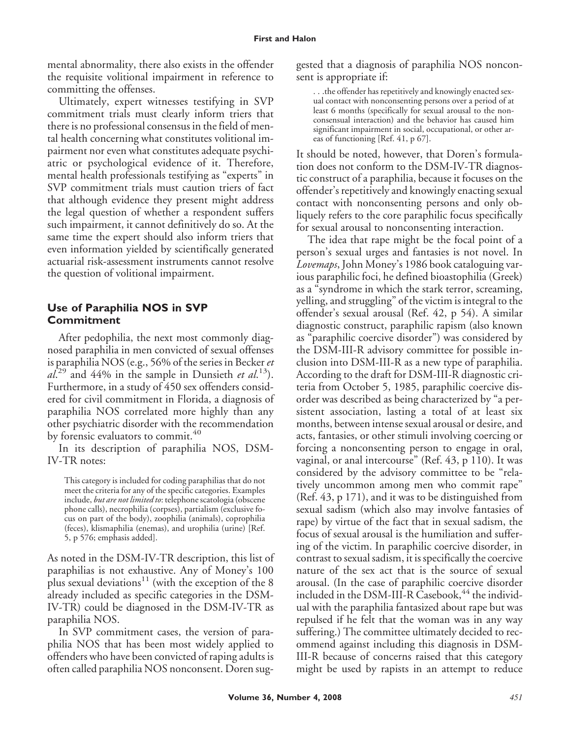mental abnormality, there also exists in the offender the requisite volitional impairment in reference to committing the offenses.

Ultimately, expert witnesses testifying in SVP commitment trials must clearly inform triers that there is no professional consensus in the field of mental health concerning what constitutes volitional impairment nor even what constitutes adequate psychiatric or psychological evidence of it. Therefore, mental health professionals testifying as "experts" in SVP commitment trials must caution triers of fact that although evidence they present might address the legal question of whether a respondent suffers such impairment, it cannot definitively do so. At the same time the expert should also inform triers that even information yielded by scientifically generated actuarial risk-assessment instruments cannot resolve the question of volitional impairment.

## **Use of Paraphilia NOS in SVP Commitment**

After pedophilia, the next most commonly diagnosed paraphilia in men convicted of sexual offenses is paraphilia NOS (e.g., 56% of the series in Becker *et al*. <sup>29</sup> and 44% in the sample in Dunsieth *et al*. 13). Furthermore, in a study of 450 sex offenders considered for civil commitment in Florida, a diagnosis of paraphilia NOS correlated more highly than any other psychiatric disorder with the recommendation by forensic evaluators to commit.<sup>40</sup>

In its description of paraphilia NOS, DSM-IV-TR notes:

This category is included for coding paraphilias that do not meet the criteria for any of the specific categories. Examples include, *but are not limited to*: telephone scatologia (obscene phone calls), necrophilia (corpses), partialism (exclusive focus on part of the body), zoophilia (animals), coprophilia (feces), klismaphilia (enemas), and urophilia (urine) [Ref. 5, p 576; emphasis added].

As noted in the DSM-IV-TR description, this list of paraphilias is not exhaustive. Any of Money's 100 plus sexual deviations<sup>11</sup> (with the exception of the 8 already included as specific categories in the DSM-IV-TR) could be diagnosed in the DSM-IV-TR as paraphilia NOS.

In SVP commitment cases, the version of paraphilia NOS that has been most widely applied to offenders who have been convicted of raping adults is often called paraphilia NOS nonconsent. Doren suggested that a diagnosis of paraphilia NOS nonconsent is appropriate if:

. . .the offender has repetitively and knowingly enacted sexual contact with nonconsenting persons over a period of at least 6 months (specifically for sexual arousal to the nonconsensual interaction) and the behavior has caused him significant impairment in social, occupational, or other areas of functioning [Ref. 41, p 67].

It should be noted, however, that Doren's formulation does not conform to the DSM-IV-TR diagnostic construct of a paraphilia, because it focuses on the offender's repetitively and knowingly enacting sexual contact with nonconsenting persons and only obliquely refers to the core paraphilic focus specifically for sexual arousal to nonconsenting interaction.

The idea that rape might be the focal point of a person's sexual urges and fantasies is not novel. In *Lovemaps*, John Money's 1986 book cataloguing various paraphilic foci, he defined bioastophilia (Greek) as a "syndrome in which the stark terror, screaming, yelling, and struggling" of the victim is integral to the offender's sexual arousal (Ref. 42, p 54). A similar diagnostic construct, paraphilic rapism (also known as "paraphilic coercive disorder") was considered by the DSM-III-R advisory committee for possible inclusion into DSM-III-R as a new type of paraphilia. According to the draft for DSM-III-R diagnostic criteria from October 5, 1985, paraphilic coercive disorder was described as being characterized by "a persistent association, lasting a total of at least six months, between intense sexual arousal or desire, and acts, fantasies, or other stimuli involving coercing or forcing a nonconsenting person to engage in oral, vaginal, or anal intercourse" (Ref. 43, p 110). It was considered by the advisory committee to be "relatively uncommon among men who commit rape" (Ref. 43, p 171), and it was to be distinguished from sexual sadism (which also may involve fantasies of rape) by virtue of the fact that in sexual sadism, the focus of sexual arousal is the humiliation and suffering of the victim. In paraphilic coercive disorder, in contrast to sexual sadism, it is specifically the coercive nature of the sex act that is the source of sexual arousal. (In the case of paraphilic coercive disorder included in the DSM-III-R Casebook,<sup>44</sup> the individual with the paraphilia fantasized about rape but was repulsed if he felt that the woman was in any way suffering.) The committee ultimately decided to recommend against including this diagnosis in DSM-III-R because of concerns raised that this category might be used by rapists in an attempt to reduce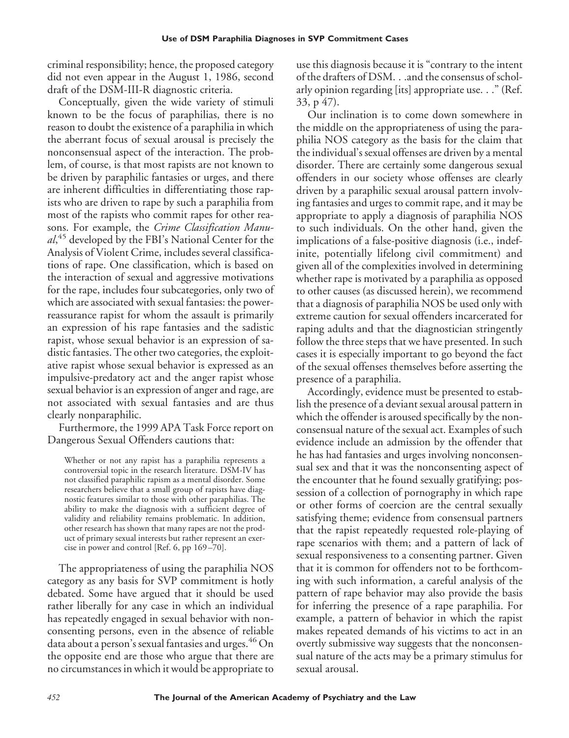criminal responsibility; hence, the proposed category did not even appear in the August 1, 1986, second draft of the DSM-III-R diagnostic criteria.

Conceptually, given the wide variety of stimuli known to be the focus of paraphilias, there is no reason to doubt the existence of a paraphilia in which the aberrant focus of sexual arousal is precisely the nonconsensual aspect of the interaction. The problem, of course, is that most rapists are not known to be driven by paraphilic fantasies or urges, and there are inherent difficulties in differentiating those rapists who are driven to rape by such a paraphilia from most of the rapists who commit rapes for other reasons. For example, the *Crime Classification Manual*, <sup>45</sup> developed by the FBI's National Center for the Analysis of Violent Crime, includes several classifications of rape. One classification, which is based on the interaction of sexual and aggressive motivations for the rape, includes four subcategories, only two of which are associated with sexual fantasies: the powerreassurance rapist for whom the assault is primarily an expression of his rape fantasies and the sadistic rapist, whose sexual behavior is an expression of sadistic fantasies. The other two categories, the exploitative rapist whose sexual behavior is expressed as an impulsive-predatory act and the anger rapist whose sexual behavior is an expression of anger and rage, are not associated with sexual fantasies and are thus clearly nonparaphilic.

Furthermore, the 1999 APA Task Force report on Dangerous Sexual Offenders cautions that:

Whether or not any rapist has a paraphilia represents a controversial topic in the research literature. DSM-IV has not classified paraphilic rapism as a mental disorder. Some researchers believe that a small group of rapists have diagnostic features similar to those with other paraphilias. The ability to make the diagnosis with a sufficient degree of validity and reliability remains problematic. In addition, other research has shown that many rapes are not the product of primary sexual interests but rather represent an exercise in power and control [Ref. 6, pp 169 –70].

The appropriateness of using the paraphilia NOS category as any basis for SVP commitment is hotly debated. Some have argued that it should be used rather liberally for any case in which an individual has repeatedly engaged in sexual behavior with nonconsenting persons, even in the absence of reliable data about a person's sexual fantasies and urges.  $^{46}$  On the opposite end are those who argue that there are no circumstances in which it would be appropriate to use this diagnosis because it is "contrary to the intent of the drafters of DSM. . .and the consensus of scholarly opinion regarding [its] appropriate use. . ." (Ref. 33, p 47).

Our inclination is to come down somewhere in the middle on the appropriateness of using the paraphilia NOS category as the basis for the claim that the individual's sexual offenses are driven by a mental disorder. There are certainly some dangerous sexual offenders in our society whose offenses are clearly driven by a paraphilic sexual arousal pattern involving fantasies and urges to commit rape, and it may be appropriate to apply a diagnosis of paraphilia NOS to such individuals. On the other hand, given the implications of a false-positive diagnosis (i.e., indefinite, potentially lifelong civil commitment) and given all of the complexities involved in determining whether rape is motivated by a paraphilia as opposed to other causes (as discussed herein), we recommend that a diagnosis of paraphilia NOS be used only with extreme caution for sexual offenders incarcerated for raping adults and that the diagnostician stringently follow the three steps that we have presented. In such cases it is especially important to go beyond the fact of the sexual offenses themselves before asserting the presence of a paraphilia.

Accordingly, evidence must be presented to establish the presence of a deviant sexual arousal pattern in which the offender is aroused specifically by the nonconsensual nature of the sexual act. Examples of such evidence include an admission by the offender that he has had fantasies and urges involving nonconsensual sex and that it was the nonconsenting aspect of the encounter that he found sexually gratifying; possession of a collection of pornography in which rape or other forms of coercion are the central sexually satisfying theme; evidence from consensual partners that the rapist repeatedly requested role-playing of rape scenarios with them; and a pattern of lack of sexual responsiveness to a consenting partner. Given that it is common for offenders not to be forthcoming with such information, a careful analysis of the pattern of rape behavior may also provide the basis for inferring the presence of a rape paraphilia. For example, a pattern of behavior in which the rapist makes repeated demands of his victims to act in an overtly submissive way suggests that the nonconsensual nature of the acts may be a primary stimulus for sexual arousal.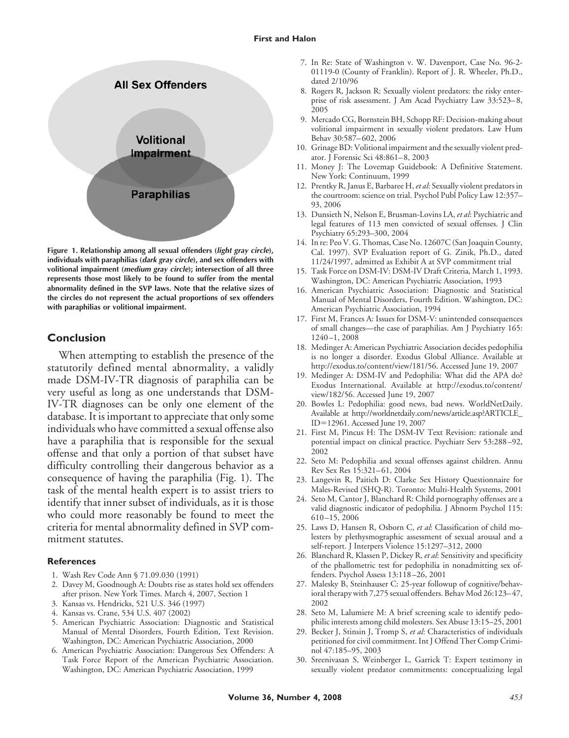

**Figure 1. Relationship among all sexual offenders (***light gray circle***), individuals with paraphilias (***dark gray circle***), and sex offenders with volitional impairment (***medium gray circle***); intersection of all three represents those most likely to be found to suffer from the mental abnormality defined in the SVP laws. Note that the relative sizes of the circles do not represent the actual proportions of sex offenders with paraphilias or volitional impairment.**

#### **Conclusion**

When attempting to establish the presence of the statutorily defined mental abnormality, a validly made DSM-IV-TR diagnosis of paraphilia can be very useful as long as one understands that DSM-IV-TR diagnoses can be only one element of the database. It is important to appreciate that only some individuals who have committed a sexual offense also have a paraphilia that is responsible for the sexual offense and that only a portion of that subset have difficulty controlling their dangerous behavior as a consequence of having the paraphilia (Fig. 1). The task of the mental health expert is to assist triers to identify that inner subset of individuals, as it is those who could more reasonably be found to meet the criteria for mental abnormality defined in SVP commitment statutes.

#### **References**

- 1. Wash Rev Code Ann § 71.09.030 (1991)
- 2. Davey M, Goodnough A: Doubts rise as states hold sex offenders after prison. New York Times. March 4, 2007, Section 1
- 3. Kansas vs. Hendricks, 521 U.S. 346 (1997)
- 4. Kansas vs. Crane, 534 U.S. 407 (2002)
- 5. American Psychiatric Association: Diagnostic and Statistical Manual of Mental Disorders, Fourth Edition, Text Revision. Washington, DC: American Psychiatric Association, 2000
- 6. American Psychiatric Association: Dangerous Sex Offenders: A Task Force Report of the American Psychiatric Association. Washington, DC: American Psychiatric Association, 1999
- 7. In Re: State of Washington v. W. Davenport, Case No. 96-2- 01119-0 (County of Franklin). Report of J. R. Wheeler, Ph.D., dated 2/10/96
- 8. Rogers R, Jackson R: Sexually violent predators: the risky enterprise of risk assessment. J Am Acad Psychiatry Law 33:523– 8, 2005
- 9. Mercado CG, Bornstein BH, Schopp RF: Decision-making about volitional impairment in sexually violent predators. Law Hum Behav 30:587– 602, 2006
- 10. Grinage BD: Volitional impairment and the sexually violent predator. J Forensic Sci 48:861– 8, 2003
- 11. Money J: The Lovemap Guidebook: A Definitive Statement. New York: Continuum, 1999
- 12. Prentky R, Janus E, Barbaree H,*et al*: Sexually violent predators in the courtroom: science on trial. Psychol Publ Policy Law 12:357– 93, 2006
- 13. Dunsieth N, Nelson E, Brusman-Lovins LA, *et al*: Psychiatric and legal features of 113 men convicted of sexual offenses. J Clin Psychiatry 65:293–300, 2004
- 14. In re: Peo V. G. Thomas, Case No. 12607C (San Joaquin County, Cal. 1997). SVP Evaluation report of G. Zinik, Ph.D., dated 11/24/1997, admitted as Exhibit A at SVP commitment trial
- 15. Task Force on DSM-IV: DSM-IV Draft Criteria, March 1, 1993. Washington, DC: American Psychiatric Association, 1993
- 16. American Psychiatric Association: Diagnostic and Statistical Manual of Mental Disorders, Fourth Edition. Washington, DC: American Psychiatric Association, 1994
- 17. First M, Frances A: Issues for DSM-V: unintended consequences of small changes—the case of paraphilias. Am J Psychiatry 165: 1240 –1, 2008
- 18. Medinger A: American Psychiatric Association decides pedophilia is no longer a disorder. Exodus Global Alliance. Available at http://exodus.to/content/view/181/56. Accessed June 19, 2007
- 19. Medinger A: DSM-IV and Pedophilia: What did the APA do? Exodus International. Available at http://exodus.to/content/ view/182/56. Accessed June 19, 2007
- 20. Bowles L: Pedophilia: good news, bad news. WorldNetDaily. Available at http://worldnetdaily.com/news/article.asp?ARTICLE\_ ID=12961. Accessed June 19, 2007
- 21. First M, Pincus H: The DSM-IV Text Revision: rationale and potential impact on clinical practice. Psychiatr Serv 53:288 –92, 2002
- 22. Seto M: Pedophilia and sexual offenses against children. Annu Rev Sex Res 15:321-61, 2004
- 23. Langevin R, Paitich D: Clarke Sex History Questionnaire for Males-Revised (SHQ-R). Toronto: Multi-Health Systems, 2001
- 24. Seto M, Cantor J, Blanchard R: Child pornography offenses are a valid diagnostic indicator of pedophilia. J Abnorm Psychol 115: 610 –15, 2006
- 25. Laws D, Hansen R, Osborn C, *et al*: Classification of child molesters by plethysmographic assessment of sexual arousal and a self-report. J Interpers Violence 15:1297–312, 2000
- 26. Blanchard R, Klassen P, Dickey R, *et al*: Sensitivity and specificity of the phallometric test for pedophilia in nonadmitting sex offenders. Psychol Assess 13:118 –26, 2001
- 27. Malesky B, Steinhauser C: 25-year followup of cognitive/behavioral therapy with 7,275 sexual offenders. Behav Mod 26:123-47, 2002
- 28. Seto M, Lalumiere M: A brief screening scale to identify pedophilic interests among child molesters. Sex Abuse 13:15–25, 2001
- 29. Becker J, Stinsin J, Tromp S, *et al*: Characteristics of individuals petitioned for civil commitment. Int J Offend Ther Comp Criminol 47:185–95, 2003
- 30. Sreenivasan S, Weinberger L, Garrick T: Expert testimony in sexually violent predator commitments: conceptualizing legal